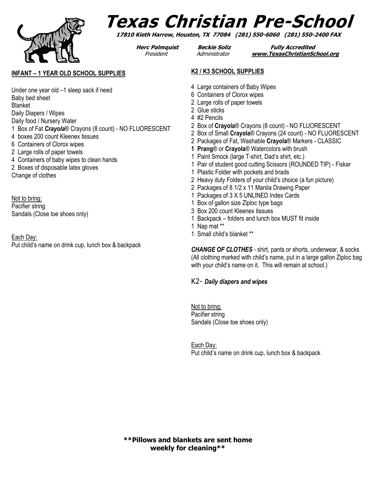

# **Texas Christian Pre-School**

**17810 Kieth Harrow, Houston, TX 77084 (281) 550-6060 (281) 550-2400 FAX**

**Herc Palmquist Beckie Soliz Fully Accredited** President Administrator **[www.TexasChristianSchool.org](http://www.texaschristianschool.org/)**

### **INFANT – 1 YEAR OLD SCHOOL SUPPLIES**

Under one year old –1 sleep sack if need Baby bed sheet Blanket Daily Diapers / Wipes Daily food / Nursery Water 1 Box of Fat *Crayola*® Crayons (8 count) - NO FLUORESCENT 4 boxes 200 count Kleenex tissues 6 Containers of Clorox wipes 2 Large rolls of paper towels 4 Containers of baby wipes to clean hands 2 Boxes of disposable latex gloves Change of clothes

Not to bring: Pacifier string Sandals (Close toe shoes only)

Each Day: Put child's name on drink cup, lunch box & backpack

#### **K2 / K3 SCHOOL SUPPLIES**

- 4 Large containers of Baby Wipes
- 6 Containers of Clorox wipes
- 2 Large rolls of paper towels
- 2 Glue sticks
- 4 #2 Pencils
- 2 Box of **Crayola**® Crayons (8 count) NO FLUORESCENT
- 2 Box of Small **Crayola**® Crayons (24 count) NO FLUORESCENT
- 2 Packages of Fat, Washable **Crayola**® Markers CLASSIC
- **1 Prang**® or **Crayola**® Watercolors with brush
- 1 Paint Smock (large T-shirt, Dad's shirt, etc.)
- 1 Pair of student good cutting Scissors (ROUNDED TIP) Fiskar
- 1 Plastic Folder with pockets and brads
- 2 Heavy duty Folders of your child's choice (a fun picture)
- 2 Packages of 8 1/2 x 11 Manila Drawing Paper
- 1 Packages of 3 X 5 UNLINED Index Cards
- 1 Box of gallon size Ziploc type bags
- 3 Box 200 count Kleenex tissues
- 1 Backpack folders and lunch box MUST fit inside
- 1 Nap mat \*\*
- 1 Small child's blanket \*\*

*CHANGE OF CLOTHES* - shirt, pants or shorts, underwear, & socks (All clothing marked with child's name, put in a large gallon Ziploc bag with your child's name on it. This will remain at school.)

### K2- *Daily diapers and wipes*

Not to bring: Pacifier string Sandals (Close toe shoes only)

Each Day: Put child's name on drink cup, lunch box & backpack

**\*\*Pillows and blankets are sent home weekly for cleaning\*\***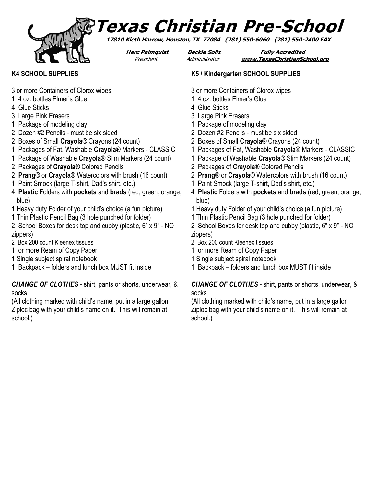

# **Texas Christian Pre-School**

**17810 Kieth Harrow, Houston, TX 77084 (281) 550-6060 (281) 550-2400 FAX**

**Herc Palmquist Beckie Soliz Fully Accredited** President Administrator **[www.TexasChristianSchool.org](http://www.texaschristianschool.org/)**

# **K4 SCHOOL SUPPLIES**

- 3 or more Containers of Clorox wipes
- 1 4 oz. bottles Elmer's Glue
- 4 Glue Sticks
- 3 Large Pink Erasers
- 1 Package of modeling clay
- 2 Dozen #2 Pencils must be six sided
- 2 Boxes of Small **Crayola**® Crayons (24 count)
- 1 Packages of Fat, Washable **Crayola**® Markers CLASSIC
- 1 Package of Washable **Crayola**® Slim Markers (24 count)
- 2 Packages of **Crayola**® Colored Pencils
- 2 **Prang**® or **Crayola**® Watercolors with brush (16 count)
- 1 Paint Smock (large T-shirt, Dad's shirt, etc.)
- 4 **Plastic** Folders with **pockets** and **brads** (red, green, orange, blue)
- 1 Heavy duty Folder of your child's choice (a fun picture)
- 1 Thin Plastic Pencil Bag (3 hole punched for folder)
- 2 School Boxes for desk top and cubby (plastic, 6" x 9" NO zippers)
- 2 Box 200 count Kleenex tissues
- 1 or more Ream of Copy Paper
- 1 Single subject spiral notebook
- 1 Backpack folders and lunch box MUST fit inside

*CHANGE OF CLOTHES* - shirt, pants or shorts, underwear, & socks

(All clothing marked with child's name, put in a large gallon Ziploc bag with your child's name on it. This will remain at school.)

- **K5 / Kindergarten SCHOOL SUPPLIES**
- 3 or more Containers of Clorox wipes
- 1 4 oz. bottles Elmer's Glue
- 4 Glue Sticks
- 3 Large Pink Erasers
- 1 Package of modeling clay
- 2 Dozen #2 Pencils must be six sided
- 2 Boxes of Small **Crayola**® Crayons (24 count)
- 1 Packages of Fat, Washable **Crayola**® Markers CLASSIC
- 1 Package of Washable **Crayola**® Slim Markers (24 count)
- 2 Packages of **Crayola**® Colored Pencils
- 2 **Prang**® or **Crayola**® Watercolors with brush (16 count)
- 1 Paint Smock (large T-shirt, Dad's shirt, etc.)
- 4 **Plastic** Folders with **pockets** and **brads** (red, green, orange, blue)
- 1 Heavy duty Folder of your child's choice (a fun picture)
- 1 Thin Plastic Pencil Bag (3 hole punched for folder)
- 2 School Boxes for desk top and cubby (plastic, 6" x 9" NO zippers)
- 2 Box 200 count Kleenex tissues
- 1 or more Ream of Copy Paper
- 1 Single subject spiral notebook
- 1 Backpack folders and lunch box MUST fit inside

### *CHANGE OF CLOTHES* - shirt, pants or shorts, underwear, & socks

(All clothing marked with child's name, put in a large gallon Ziploc bag with your child's name on it. This will remain at school.)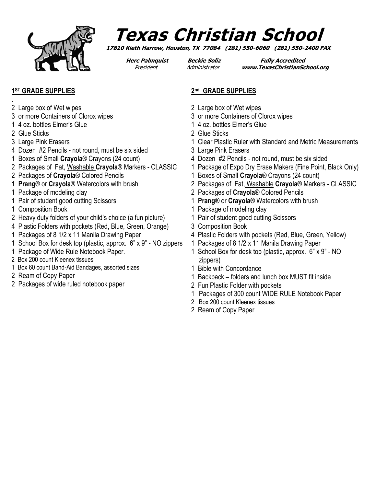

# **Texas Christian School**

**17810 Kieth Harrow, Houston, TX 77084 (281) 550-6060 (281) 550-2400 FAX**

**Herc Palmquist Beckie Soliz Fully Accredited** President Administrator **[www.TexasChristianSchool.org](http://www.texaschristianschool.org/)**

## **1 ST GRADE SUPPLIES**

- 2 Large box of Wet wipes
- 3 or more Containers of Clorox wipes
- 1 4 oz. bottles Elmer's Glue
- 2 Glue Sticks

.

- 3 Large Pink Erasers
- 4 Dozen #2 Pencils not round, must be six sided
- 1 Boxes of Small **Crayola**® Crayons (24 count)
- 2 Packages of Fat, Washable **Crayola**® Markers CLASSIC
- 2 Packages of **Crayola**® Colored Pencils
- 1 **Prang**® or **Crayola**® Watercolors with brush
- 1 Package of modeling clay
- 1 Pair of student good cutting Scissors
- 1 Composition Book
- 2 Heavy duty folders of your child's choice (a fun picture)
- 4 Plastic Folders with pockets (Red, Blue, Green, Orange)
- 1 Packages of 8 1/2 x 11 Manila Drawing Paper
- 1 School Box for desk top (plastic, approx. 6" x 9" NO zippers
- 1 Package of Wide Rule Notebook Paper.
- 2 Box 200 count Kleenex tissues
- 1 Box 60 count Band-Aid Bandages, assorted sizes
- 2 Ream of Copy Paper
- 2 Packages of wide ruled notebook paper

### **2 nd GRADE SUPPLIES**

- 2 Large box of Wet wipes
- 3 or more Containers of Clorox wipes
- 1 4 oz. bottles Elmer's Glue
- 2 Glue Sticks
- 1 Clear Plastic Ruler with Standard and Metric Measurements
- 3 Large Pink Erasers
- 4 Dozen #2 Pencils not round, must be six sided
- 1 Package of Expo Dry Erase Makers (Fine Point, Black Only)
- 1 Boxes of Small **Crayola**® Crayons (24 count)
- 2 Packages of Fat, Washable **Crayola**® Markers CLASSIC
- 2 Packages of **Crayola**® Colored Pencils
- 1 **Prang**® or **Crayola**® Watercolors with brush
- 1 Package of modeling clay
- 1 Pair of student good cutting Scissors
- 3 Composition Book
- 4 Plastic Folders with pockets (Red, Blue, Green, Yellow)
- 1 Packages of 8 1/2 x 11 Manila Drawing Paper
- 1 School Box for desk top (plastic, approx. 6" x 9" NO zippers)
- 1 Bible with Concordance
- 1 Backpack folders and lunch box MUST fit inside
- 2 Fun Plastic Folder with pockets
- 1 Packages of 300 count WIDE RULE Notebook Paper
- 2 Box 200 count Kleenex tissues
- 2 Ream of Copy Paper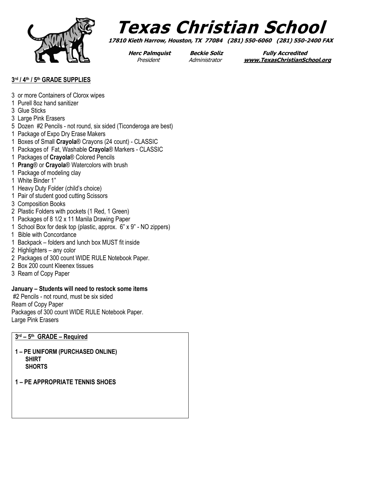

# **Texas Christian School**

**17810 Kieth Harrow, Houston, TX 77084 (281) 550-6060 (281) 550-2400 FAX**

**Herc Palmquist Beckie Soliz Fully Accredited** President Administrator **[www.TexasChristianSchool.org](http://www.texaschristianschool.org/)**

### **3 rd / 4th / 5th GRADE SUPPLIES**

- 3 or more Containers of Clorox wipes
- 1 Purell 8oz hand sanitizer
- 3 Glue Sticks
- 3 Large Pink Erasers
- 5 Dozen #2 Pencils not round, six sided (Ticonderoga are best)
- 1 Package of Expo Dry Erase Makers
- 1 Boxes of Small **Crayola**® Crayons (24 count) CLASSIC
- 1 Packages of Fat, Washable **Crayola**® Markers CLASSIC
- 1 Packages of **Crayola**® Colored Pencils
- 1 **Prang**® or **Crayola**® Watercolors with brush
- 1 Package of modeling clay
- 1 White Binder 1"
- 1 Heavy Duty Folder (child's choice)
- 1 Pair of student good cutting Scissors
- 3 Composition Books
- 2 Plastic Folders with pockets (1 Red, 1 Green)
- 1 Packages of 8 1/2 x 11 Manila Drawing Paper
- 1 School Box for desk top (plastic, approx. 6" x 9" NO zippers)
- 1 Bible with Concordance
- 1 Backpack folders and lunch box MUST fit inside
- 2 Highlighters any color
- 2 Packages of 300 count WIDE RULE Notebook Paper.
- 2 Box 200 count Kleenex tissues
- 3 Ream of Copy Paper

#### **January – Students will need to restock some items**

#2 Pencils - not round, must be six sided Ream of Copy Paper Packages of 300 count WIDE RULE Notebook Paper. Large Pink Erasers

### **3 rd – 5 th GRADE – Required**

- **1 – PE UNIFORM (PURCHASED ONLINE) SHIRT SHORTS**
- **1 – PE APPROPRIATE TENNIS SHOES**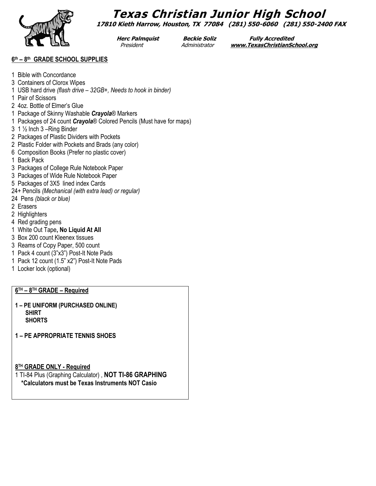**Texas Christian Junior High School 17810 Kieth Harrow, Houston, TX 77084 (281) 550-6060 (281) 550-2400 FAX**

**Herc Palmquist Beckie Soliz Fully Accredited** President Administrator **[www.TexasChristianSchool.org](http://www.texaschristianschool.org/)**

#### **6 th – 8 th GRADE SCHOOL SUPPLIES**

- 1 Bible with Concordance
- 3 Containers of Clorox Wipes
- 1 USB hard drive *(flash drive – 32GB+, Needs to hook in binder)*
- 1 Pair of Scissors
- 2 4oz. Bottle of Elmer's Glue
- 1 Package of Skinny Washable *Crayola*® Markers
- 1 Packages of 24 count *Crayola*® Colored Pencils (Must have for maps)
- 3 1 ½ Inch 3 –Ring Binder
- 2 Packages of Plastic Dividers with Pockets
- 2 Plastic Folder with Pockets and Brads (any color)
- 6 Composition Books (Prefer no plastic cover)
- 1 Back Pack
- 3 Packages of College Rule Notebook Paper
- 3 Packages of Wide Rule Notebook Paper
- 5 Packages of 3X5 lined index Cards
- 24+ Pencils *(Mechanical (with extra lead) or regular)*
- 24 Pens *(black or blue)*
- 2 Erasers
- 2 Highlighters
- 4 Red grading pens
- 1 White Out Tape**, No Liquid At All**
- 3 Box 200 count Kleenex tissues
- 3 Reams of Copy Paper, 500 count
- 1 Pack 4 count (3"x3") Post-It Note Pads
- 1 Pack 12 count (1.5" x2") Post-It Note Pads
- 1 Locker lock (optional)

### **6 TH – 8 TH GRADE – Required**

- **1 – PE UNIFORM (PURCHASED ONLINE) SHIRT SHORTS**
- **1 – PE APPROPRIATE TENNIS SHOES**

**8 TH GRADE ONLY - Required**

1 TI-84 Plus (Graphing Calculator) , **NOT TI-86 GRAPHING \*Calculators must be Texas Instruments NOT Casio**